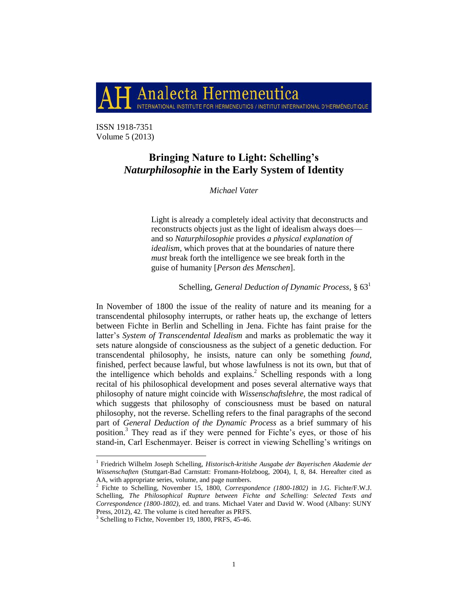

ISSN 1918-7351 Volume 5 (2013)

# **Bringing Nature to Light: Schelling's** *Naturphilosophie* **in the Early System of Identity**

*Michael Vater*

Light is already a completely ideal activity that deconstructs and reconstructs objects just as the light of idealism always does and so *Naturphilosophie* provides *a physical explanation of idealism,* which proves that at the boundaries of nature there *must* break forth the intelligence we see break forth in the guise of humanity [*Person des Menschen*].

Schelling, *General Deduction of Dynamic Process,* § 63<sup>1</sup>

In November of 1800 the issue of the reality of nature and its meaning for a transcendental philosophy interrupts, or rather heats up, the exchange of letters between Fichte in Berlin and Schelling in Jena. Fichte has faint praise for the latter"s *System of Transcendental Idealism* and marks as problematic the way it sets nature alongside of consciousness as the subject of a genetic deduction. For transcendental philosophy, he insists, nature can only be something *found*, finished, perfect because lawful, but whose lawfulness is not its own, but that of the intelligence which beholds and explains.<sup>2</sup> Schelling responds with a long recital of his philosophical development and poses several alternative ways that philosophy of nature might coincide with *Wissenschaftslehre,* the most radical of which suggests that philosophy of consciousness must be based on natural philosophy, not the reverse. Schelling refers to the final paragraphs of the second part of *General Deduction of the Dynamic Process* as a brief summary of his position.<sup>3</sup> They read as if they were penned for Fichte's eyes, or those of his stand-in, Carl Eschenmayer. Beiser is correct in viewing Schelling"s writings on

<sup>&</sup>lt;sup>1</sup> Friedrich Wilhelm Joseph Schelling, *Historisch-kritishe Ausgabe der Bayerischen Akademie der Wissenschaften* (Stuttgart-Bad Carnstatt: Fromann-Holzboog, 2004), I, 8, 84. Hereafter cited as AA, with appropriate series, volume, and page numbers. 2 Fichte to Schelling, November 15, 1800, *Correspondence (1800-1802)* in J.G. Fichte/F.W.J.

Schelling, *The Philosophical Rupture between Fichte and Schelling: Selected Texts and Correspondence (1800-1802),* ed. and trans. Michael Vater and David W. Wood (Albany: SUNY Press, 2012), 42. The volume is cited hereafter as PRFS.

<sup>&</sup>lt;sup>3</sup> Schelling to Fichte, November 19, 1800, PRFS, 45-46.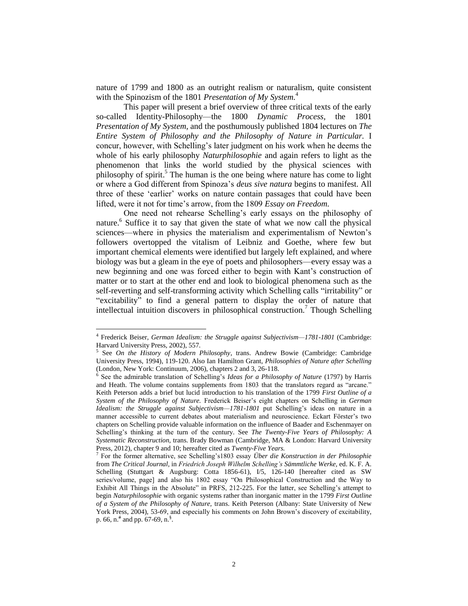nature of 1799 and 1800 as an outright realism or naturalism, quite consistent with the Spinozism of the 1801 *Presentation of My System.*<sup>4</sup>

This paper will present a brief overview of three critical texts of the early so-called Identity-Philosophy—the 1800 *Dynamic Process,* the 1801 *Presentation of My System,* and the posthumously published 1804 lectures on *The Entire System of Philosophy and the Philosophy of Nature in Particular.* I concur, however, with Schelling"s later judgment on his work when he deems the whole of his early philosophy *Naturphilosophie* and again refers to light as the phenomenon that links the world studied by the physical sciences with philosophy of spirit. <sup>5</sup> The human is the one being where nature has come to light or where a God different from Spinoza"s *deus sive natura* begins to manifest. All three of these "earlier" works on nature contain passages that could have been lifted, were it not for time"s arrow, from the 1809 *Essay on Freedom.*

One need not rehearse Schelling"s early essays on the philosophy of nature.<sup>6</sup> Suffice it to say that given the state of what we now call the physical sciences—where in physics the materialism and experimentalism of Newton"s followers overtopped the vitalism of Leibniz and Goethe, where few but important chemical elements were identified but largely left explained, and where biology was but a gleam in the eye of poets and philosophers—every essay was a new beginning and one was forced either to begin with Kant"s construction of matter or to start at the other end and look to biological phenomena such as the self-reverting and self-transforming activity which Schelling calls "irritability" or "excitability" to find a general pattern to display the order of nature that intellectual intuition discovers in philosophical construction.<sup>7</sup> Though Schelling

<sup>&</sup>lt;sup>4</sup> Frederick Beiser, *German Idealism: the Struggle against Subjectivism—1781-1801* (Cambridge: Harvard University Press, 2002), 557.

<sup>5</sup> See *On the History of Modern Philosophy*, trans. Andrew Bowie (Cambridge: Cambridge University Press, 1994), 119-120. Also Ian Hamilton Grant, *Philosophies of Nature after Schelling*  (London, New York: Continuum, 2006), chapters 2 and 3, 26-118.

<sup>&</sup>lt;sup>6</sup> See the admirable translation of Schelling's *Ideas for a Philosophy of Nature* (1797) by Harris and Heath. The volume contains supplements from 1803 that the translators regard as "arcane." Keith Peterson adds a brief but lucid introduction to his translation of the 1799 *First Outline of a System of the Philosophy of Nature.* Frederick Beiser"s eight chapters on Schelling in *German Idealism: the Struggle against Subjectivism—1781-1801* put Schelling's ideas on nature in a manner accessible to current debates about materialism and neuroscience. Eckart Förster"s two chapters on Schelling provide valuable information on the influence of Baader and Eschenmayer on Schelling"s thinking at the turn of the century. See *The Twenty-Five Years of Philosophy: A Systematic Reconstruction,* trans. Brady Bowman (Cambridge, MA & London: Harvard University Press, 2012), chapter 9 and 10; hereafter cited as *Twenty-Five Years.*

<sup>7</sup> For the former alternative, see Schelling"s1803 essay *Über die Konstruction in der Philosophie*  from *The Critical Journal,* in *Friedrich Joseph Wilhelm Schelling's Sämmtliche Werke,* ed. K. F. A. Schelling (Stuttgart & Augsburg: Cotta 1856-61), I/5, 126-140 [hereafter cited as SW series/volume, page] and also his 1802 essay "On Philosophical Construction and the Way to Exhibit All Things in the Absolute" in PRFS, 212-225. For the latter, see Schelling's attempt to begin *Naturphilosophie* with organic systems rather than inorganic matter in the 1799 *First Outline of a System of the Philosophy of Nature,* trans. Keith Peterson (Albany: State University of New York Press, 2004), 53-69, and especially his comments on John Brown"s discovery of excitability, p. 66, n.<sup>#</sup> and pp. 67-69, n.<sup>§</sup>.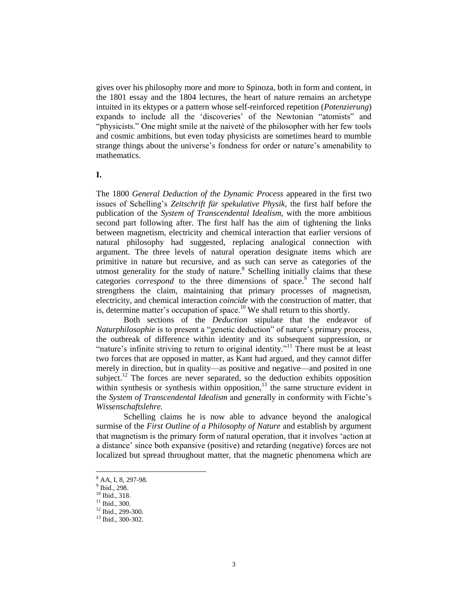gives over his philosophy more and more to Spinoza, both in form and content, in the 1801 essay and the 1804 lectures, the heart of nature remains an archetype intuited in its ektypes or a pattern whose self-reinforced repetition (*Potenzierung*) expands to include all the 'discoveries' of the Newtonian "atomists" and "physicists." One might smile at the naiveté of the philosopher with her few tools and cosmic ambitions, but even today physicists are sometimes heard to mumble strange things about the universe's fondness for order or nature's amenability to mathematics.

**I.**

The 1800 *General Deduction of the Dynamic Process* appeared in the first two issues of Schelling"s *Zeitschrift für spekulative Physik,* the first half before the publication of the *System of Transcendental Idealism,* with the more ambitious second part following after. The first half has the aim of tightening the links between magnetism, electricity and chemical interaction that earlier versions of natural philosophy had suggested, replacing analogical connection with argument. The three levels of natural operation designate items which are primitive in nature but recursive, and as such can serve as categories of the utmost generality for the study of nature. $8$  Schelling initially claims that these categories *correspond* to the three dimensions of space.<sup>9</sup> The second half strengthens the claim, maintaining that primary processes of magnetism, electricity, and chemical interaction *coincide* with the construction of matter, that is, determine matter's occupation of space.<sup>10</sup> We shall return to this shortly.

Both sections of the *Deduction* stipulate that the endeavor of *Naturphilosophie* is to present a "genetic deduction" of nature's primary process, the outbreak of difference within identity and its subsequent suppression, or "nature's infinite striving to return to original identity."<sup>11</sup> There must be at least two forces that are opposed in matter, as Kant had argued, and they cannot differ merely in direction, but in quality—as positive and negative—and posited in one subject.<sup>12</sup> The forces are never separated, so the deduction exhibits opposition within synthesis or synthesis within opposition, $13$  the same structure evident in the *System of Transcendental Idealism* and generally in conformity with Fichte"s *Wissenschaftslehre.*

Schelling claims he is now able to advance beyond the analogical surmise of the *First Outline of a Philosophy of Nature* and establish by argument that magnetism is the primary form of natural operation, that it involves "action at a distance" since both expansive (positive) and retarding (negative) forces are not localized but spread throughout matter, that the magnetic phenomena which are

<sup>8</sup> AA, I, 8, 297-98.

<sup>9</sup> Ibid., 298.

<sup>10</sup> Ibid., 318.

<sup>11</sup> Ibid., 300.

<sup>&</sup>lt;sup>12</sup> Ibid., 299-300.

<sup>13</sup> Ibid., 300-302.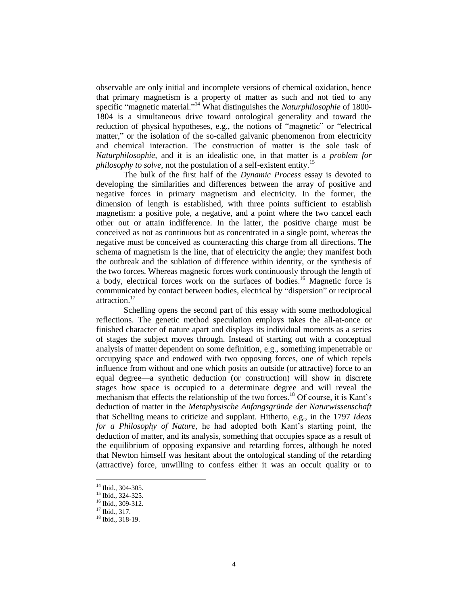observable are only initial and incomplete versions of chemical oxidation, hence that primary magnetism is a property of matter as such and not tied to any specific "magnetic material."<sup>14</sup> What distinguishes the *Naturphilosophie* of 1800- 1804 is a simultaneous drive toward ontological generality and toward the reduction of physical hypotheses, e.g., the notions of "magnetic" or "electrical matter," or the isolation of the so-called galvanic phenomenon from electricity and chemical interaction. The construction of matter is the sole task of *Naturphilosophie,* and it is an idealistic one, in that matter is a *problem for philosophy to solve, not the postulation of a self-existent entity.*<sup>15</sup>

The bulk of the first half of the *Dynamic Process* essay is devoted to developing the similarities and differences between the array of positive and negative forces in primary magnetism and electricity. In the former, the dimension of length is established, with three points sufficient to establish magnetism: a positive pole, a negative, and a point where the two cancel each other out or attain indifference. In the latter, the positive charge must be conceived as not as continuous but as concentrated in a single point, whereas the negative must be conceived as counteracting this charge from all directions. The schema of magnetism is the line, that of electricity the angle; they manifest both the outbreak and the sublation of difference within identity, or the synthesis of the two forces. Whereas magnetic forces work continuously through the length of a body, electrical forces work on the surfaces of bodies. <sup>16</sup> Magnetic force is communicated by contact between bodies, electrical by "dispersion" or reciprocal attraction. 17

Schelling opens the second part of this essay with some methodological reflections. The genetic method speculation employs takes the all-at-once or finished character of nature apart and displays its individual moments as a series of stages the subject moves through. Instead of starting out with a conceptual analysis of matter dependent on some definition, e.g., something impenetrable or occupying space and endowed with two opposing forces, one of which repels influence from without and one which posits an outside (or attractive) force to an equal degree—a synthetic deduction (or construction) will show in discrete stages how space is occupied to a determinate degree and will reveal the mechanism that effects the relationship of the two forces.<sup>18</sup> Of course, it is Kant's deduction of matter in the *Metaphysische Anfangsgründe der Naturwissenschaft*  that Schelling means to criticize and supplant. Hitherto, e.g., in the 1797 *Ideas for a Philosophy of Nature,* he had adopted both Kant"s starting point, the deduction of matter, and its analysis, something that occupies space as a result of the equilibrium of opposing expansive and retarding forces, although he noted that Newton himself was hesitant about the ontological standing of the retarding (attractive) force, unwilling to confess either it was an occult quality or to

<sup>&</sup>lt;sup>14</sup> Ibid., 304-305.

<sup>15</sup> Ibid., 324-325.

<sup>16</sup> Ibid., 309-312.

<sup>17</sup> Ibid., 317.

<sup>18</sup> Ibid., 318-19.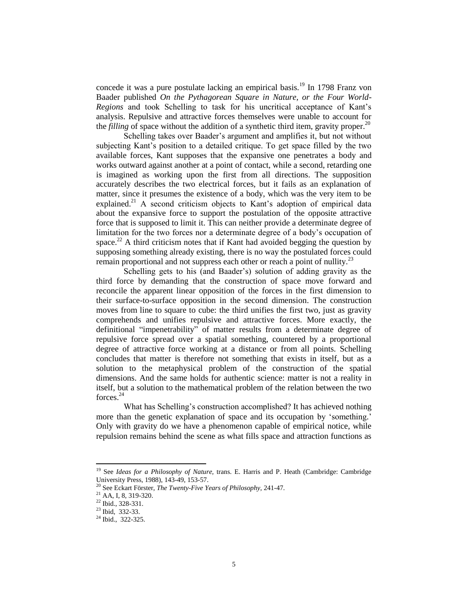concede it was a pure postulate lacking an empirical basis.<sup>19</sup> In 1798 Franz von Baader published *On the Pythagorean Square in Nature, or the Four World-Regions* and took Schelling to task for his uncritical acceptance of Kant"s analysis. Repulsive and attractive forces themselves were unable to account for the *filling* of space without the addition of a synthetic third item, gravity proper.<sup>20</sup>

Schelling takes over Baader"s argument and amplifies it, but not without subjecting Kant's position to a detailed critique. To get space filled by the two available forces, Kant supposes that the expansive one penetrates a body and works outward against another at a point of contact, while a second, retarding one is imagined as working upon the first from all directions. The supposition accurately describes the two electrical forces, but it fails as an explanation of matter, since it presumes the existence of a body, which was the very item to be explained.<sup>21</sup> A second criticism objects to Kant's adoption of empirical data about the expansive force to support the postulation of the opposite attractive force that is supposed to limit it. This can neither provide a determinate degree of limitation for the two forces nor a determinate degree of a body"s occupation of space.<sup>22</sup> A third criticism notes that if Kant had avoided begging the question by supposing something already existing, there is no way the postulated forces could remain proportional and not suppress each other or reach a point of nullity.<sup>23</sup>

Schelling gets to his (and Baader's) solution of adding gravity as the third force by demanding that the construction of space move forward and reconcile the apparent linear opposition of the forces in the first dimension to their surface-to-surface opposition in the second dimension. The construction moves from line to square to cube: the third unifies the first two, just as gravity comprehends and unifies repulsive and attractive forces. More exactly, the definitional "impenetrability" of matter results from a determinate degree of repulsive force spread over a spatial something, countered by a proportional degree of attractive force working at a distance or from all points. Schelling concludes that matter is therefore not something that exists in itself, but as a solution to the metaphysical problem of the construction of the spatial dimensions. And the same holds for authentic science: matter is not a reality in itself, but a solution to the mathematical problem of the relation between the two forces.<sup>24</sup>

What has Schelling"s construction accomplished? It has achieved nothing more than the genetic explanation of space and its occupation by 'something.' Only with gravity do we have a phenomenon capable of empirical notice, while repulsion remains behind the scene as what fills space and attraction functions as

<sup>&</sup>lt;sup>19</sup> See *Ideas for a Philosophy of Nature*, trans. E. Harris and P. Heath (Cambridge: Cambridge University Press, 1988), 143-49, 153-57.

<sup>20</sup> See Eckart Förster, *The Twenty-Five Years of Philosophy,* 241-47.

<sup>21</sup> AA, I, 8, 319-320.

<sup>22</sup> Ibid., 328-331.

<sup>23</sup> Ibid, 332-33.

<sup>&</sup>lt;sup>24</sup> Ibid., 322-325.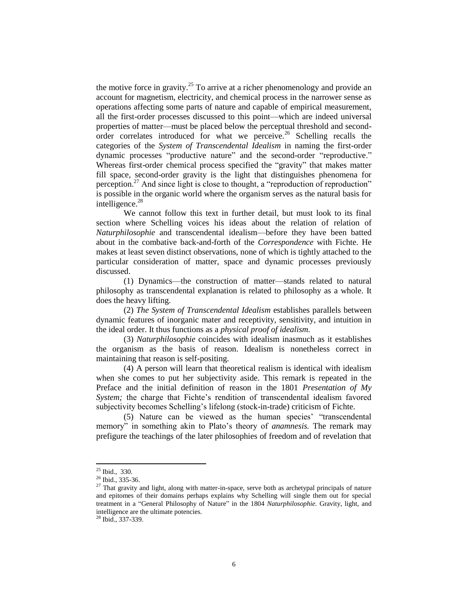the motive force in gravity.<sup>25</sup> To arrive at a richer phenomenology and provide an account for magnetism, electricity, and chemical process in the narrower sense as operations affecting some parts of nature and capable of empirical measurement, all the first-order processes discussed to this point—which are indeed universal properties of matter—must be placed below the perceptual threshold and secondorder correlates introduced for what we perceive.<sup>26</sup> Schelling recalls the categories of the *System of Transcendental Idealism* in naming the first-order dynamic processes "productive nature" and the second-order "reproductive." Whereas first-order chemical process specified the "gravity" that makes matter fill space, second-order gravity is the light that distinguishes phenomena for perception.<sup>27</sup> And since light is close to thought, a "reproduction of reproduction" is possible in the organic world where the organism serves as the natural basis for intelligence.<sup>28</sup>

We cannot follow this text in further detail, but must look to its final section where Schelling voices his ideas about the relation of relation of *Naturphilosophie* and transcendental idealism—before they have been batted about in the combative back-and-forth of the *Correspondence* with Fichte. He makes at least seven distinct observations, none of which is tightly attached to the particular consideration of matter, space and dynamic processes previously discussed.

(1) Dynamics—the construction of matter—stands related to natural philosophy as transcendental explanation is related to philosophy as a whole. It does the heavy lifting.

(2) *The System of Transcendental Idealism* establishes parallels between dynamic features of inorganic mater and receptivity, sensitivity, and intuition in the ideal order. It thus functions as a *physical proof of idealism.*

(3) *Naturphilosophie* coincides with idealism inasmuch as it establishes the organism as the basis of reason. Idealism is nonetheless correct in maintaining that reason is self-positing.

(4) A person will learn that theoretical realism is identical with idealism when she comes to put her subjectivity aside. This remark is repeated in the Preface and the initial definition of reason in the 1801 *Presentation of My System;* the charge that Fichte"s rendition of transcendental idealism favored subjectivity becomes Schelling's lifelong (stock-in-trade) criticism of Fichte.

(5) Nature can be viewed as the human species' "transcendental memory" in something akin to Plato"s theory of *anamnesis.* The remark may prefigure the teachings of the later philosophies of freedom and of revelation that

 $\overline{a}$ 

<sup>28</sup> Ibid., 337-339.

 $25$  Ibid., 330.

<sup>&</sup>lt;sup>26</sup> Ibid., 335-36.

 $27$  That gravity and light, along with matter-in-space, serve both as archetypal principals of nature and epitomes of their domains perhaps explains why Schelling will single them out for special treatment in a "General Philosophy of Nature" in the 1804 *Naturphilosophie.* Gravity, light, and intelligence are the ultimate potencies.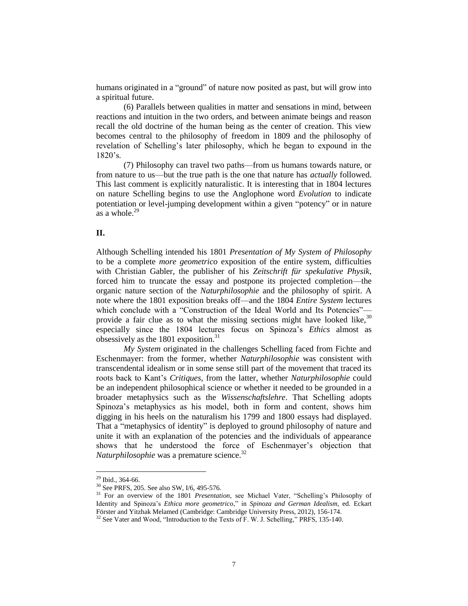humans originated in a "ground" of nature now posited as past, but will grow into a spiritual future.

(6) Parallels between qualities in matter and sensations in mind, between reactions and intuition in the two orders, and between animate beings and reason recall the old doctrine of the human being as the center of creation. This view becomes central to the philosophy of freedom in 1809 and the philosophy of revelation of Schelling"s later philosophy, which he began to expound in the 1820"s.

(7) Philosophy can travel two paths—from us humans towards nature, or from nature to us—but the true path is the one that nature has *actually* followed. This last comment is explicitly naturalistic. It is interesting that in 1804 lectures on nature Schelling begins to use the Anglophone word *Evolution* to indicate potentiation or level-jumping development within a given "potency" or in nature as a whole. $29$ 

## **II.**

Although Schelling intended his 1801 *Presentation of My System of Philosophy*  to be a complete *more geometrico* exposition of the entire system, difficulties with Christian Gabler, the publisher of his *Zeitschrift für spekulative Physik,*  forced him to truncate the essay and postpone its projected completion—the organic nature section of the *Naturphilosophie* and the philosophy of spirit. A note where the 1801 exposition breaks off—and the 1804 *Entire System* lectures which conclude with a "Construction of the Ideal World and Its Potencies"provide a fair clue as to what the missing sections might have looked like, $30$ especially since the 1804 lectures focus on Spinoza"s *Ethics* almost as obsessively as the 1801 exposition. $31$ 

*My System* originated in the challenges Schelling faced from Fichte and Eschenmayer: from the former, whether *Naturphilosophie* was consistent with transcendental idealism or in some sense still part of the movement that traced its roots back to Kant"s *Critiques,* from the latter, whether *Naturphilosophie* could be an independent philosophical science or whether it needed to be grounded in a broader metaphysics such as the *Wissenschaftslehre*. That Schelling adopts Spinoza"s metaphysics as his model, both in form and content, shows him digging in his heels on the naturalism his 1799 and 1800 essays had displayed. That a "metaphysics of identity" is deployed to ground philosophy of nature and unite it with an explanation of the potencies and the individuals of appearance shows that he understood the force of Eschenmayer's objection that *Naturphilosophie* was a premature science.<sup>32</sup>

 $29$  Ibid., 364-66.

<sup>30</sup> See PRFS, 205. See also SW, I/6, 495-576.

<sup>&</sup>lt;sup>31</sup> For an overview of the 1801 *Presentation*, see Michael Vater, "Schelling's Philosophy of Identity and Spinoza"s *Ethica more geometrico*," in *Spinoza and German Idealism,* ed. Eckart Förster and Yitzhak Melamed (Cambridge: Cambridge University Press, 2012), 156-174.

<sup>&</sup>lt;sup>32</sup> See Vater and Wood, "Introduction to the Texts of F. W. J. Schelling," PRFS, 135-140.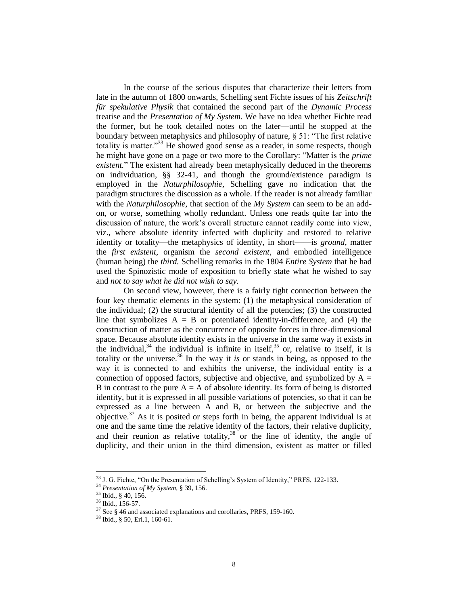In the course of the serious disputes that characterize their letters from late in the autumn of 1800 onwards, Schelling sent Fichte issues of his *Zeitschrift für spekulative Physik* that contained the second part of the *Dynamic Process*  treatise and the *Presentation of My System.* We have no idea whether Fichte read the former, but he took detailed notes on the later—until he stopped at the boundary between metaphysics and philosophy of nature, § 51: "The first relative totality is matter."<sup>33</sup> He showed good sense as a reader, in some respects, though he might have gone on a page or two more to the Corollary: "Matter is the *prime existent.*" The existent had already been metaphysically deduced in the theorems on individuation, §§ 32-41, and though the ground/existence paradigm is employed in the *Naturphilosophie,* Schelling gave no indication that the paradigm structures the discussion as a whole. If the reader is not already familiar with the *Naturphilosophie,* that section of the *My System* can seem to be an addon, or worse, something wholly redundant. Unless one reads quite far into the discussion of nature, the work"s overall structure cannot readily come into view, viz., where absolute identity infected with duplicity and restored to relative identity or totality—the metaphysics of identity, in short——is *ground*, matter the *first existent*, organism the *second existent*, and embodied intelligence (human being) the *third.* Schelling remarks in the 1804 *Entire System* that he had used the Spinozistic mode of exposition to briefly state what he wished to say and *not to say what he did not wish to say.*

On second view, however, there is a fairly tight connection between the four key thematic elements in the system: (1) the metaphysical consideration of the individual; (2) the structural identity of all the potencies; (3) the constructed line that symbolizes  $A = B$  or potentiated identity-in-difference, and (4) the construction of matter as the concurrence of opposite forces in three-dimensional space. Because absolute identity exists in the universe in the same way it exists in the individual,  $34$  the individual is infinite in itself,  $35$  or, relative to itself, it is totality or the universe.<sup>36</sup> In the way it *is* or stands in being, as opposed to the way it is connected to and exhibits the universe, the individual entity is a connection of opposed factors, subjective and objective, and symbolized by  $A =$ B in contrast to the pure  $A = A$  of absolute identity. Its form of being is distorted identity, but it is expressed in all possible variations of potencies, so that it can be expressed as a line between A and B, or between the subjective and the objective. $37$  As it is posited or steps forth in being, the apparent individual is at one and the same time the relative identity of the factors, their relative duplicity, and their reunion as relative totality, $38$  or the line of identity, the angle of duplicity, and their union in the third dimension, existent as matter or filled

 $33$  J. G. Fichte, "On the Presentation of Schelling's System of Identity," PRFS, 122-133.

<sup>34</sup> *Presentation of My System,* § 39, 156.

<sup>35</sup> Ibid., § 40, 156.

<sup>36</sup> Ibid., 156-57.

<sup>37</sup> See § 46 and associated explanations and corollaries*,* PRFS, 159-160.

<sup>38</sup> Ibid., § 50, Erl.1, 160-61.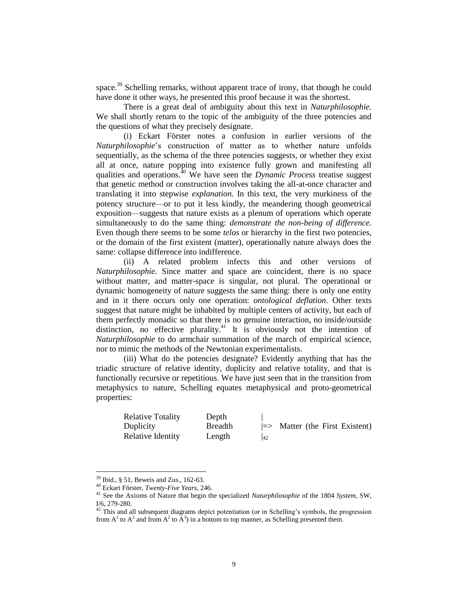space.<sup>39</sup> Schelling remarks, without apparent trace of irony, that though he could have done it other ways, he presented this proof because it was the shortest.

There is a great deal of ambiguity about this text in *Naturphilosophie.* We shall shortly return to the topic of the ambiguity of the three potencies and the questions of what they precisely designate.

(i) Eckart Förster notes a confusion in earlier versions of the *Naturphilosophie*"s construction of matter as to whether nature unfolds sequentially, as the schema of the three potencies suggests, or whether they exist all at once, nature popping into existence fully grown and manifesting all qualities and operations.<sup>40</sup> We have seen the *Dynamic Process* treatise suggest that genetic method or construction involves taking the all-at-once character and translating it into stepwise *explanation.* In this text, the very murkiness of the potency structure—or to put it less kindly, the meandering though geometrical exposition—suggests that nature exists as a plenum of operations which operate simultaneously to do the same thing: *demonstrate the non-being of difference.*  Even though there seems to be some *telos* or hierarchy in the first two potencies, or the domain of the first existent (matter), operationally nature always does the same: collapse difference into indifference.

(ii) A related problem infects this and other versions of *Naturphilosophie.* Since matter and space are coincident, there is no space without matter, and matter-space is singular, not plural. The operational or dynamic homogeneity of nature suggests the same thing: there is only one entity and in it there occurs only one operation: *ontological deflation*. Other texts suggest that nature might be inhabited by multiple centers of activity, but each of them perfectly monadic so that there is no genuine interaction, no inside/outside distinction, no effective plurality.<sup>41</sup> It is obviously not the intention of *Naturphilosophie* to do armchair summation of the march of empirical science, nor to mimic the methods of the Newtonian experimentalists.

(iii) What do the potencies designate? Evidently anything that has the triadic structure of relative identity, duplicity and relative totality, and that is functionally recursive or repetitious. We have just seen that in the transition from metaphysics to nature, Schelling equates metaphysical and proto-geometrical properties:

| <b>Relative Totality</b> | Depth          |    |                                           |  |  |
|--------------------------|----------------|----|-------------------------------------------|--|--|
| Duplicity                | <b>Breadth</b> |    | $\Rightarrow$ Matter (the First Existent) |  |  |
| Relative Identity        | Length         | 42 |                                           |  |  |

 $39$  Ibid., § 51, Beweis and Zus., 162-63.

<sup>40</sup> Eckart Förster, *Twenty-Five Years,* 246.

<sup>41</sup> See the Axioms of Nature that begin the specialized *Naturphilosophie* of the 1804 *System,* SW, I/6, 279-280.

 $42$  This and all subsequent diagrams depict potentiation (or in Schelling's symbols, the progression from  $A^1$  to  $A^2$  and from  $A^2$  to  $A^3$ ) in a bottom to top manner, as Schelling presented them.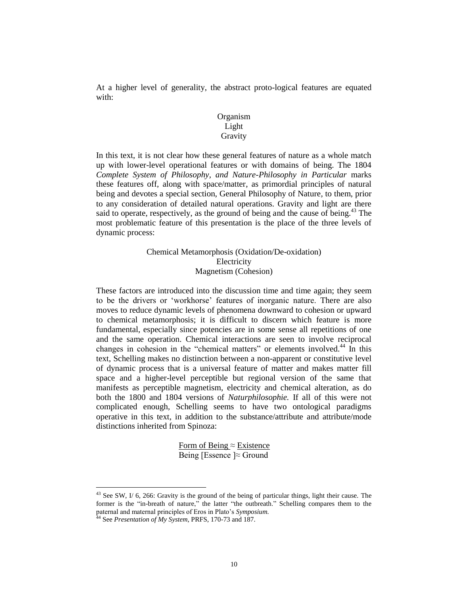At a higher level of generality, the abstract proto-logical features are equated with:

# Organism Light Gravity

In this text, it is not clear how these general features of nature as a whole match up with lower-level operational features or with domains of being. The 1804 *Complete System of Philosophy, and Nature-Philosophy in Particular marks* these features off, along with space/matter, as primordial principles of natural being and devotes a special section, General Philosophy of Nature*,* to them, prior to any consideration of detailed natural operations. Gravity and light are there said to operate, respectively, as the ground of being and the cause of being.<sup>43</sup> The most problematic feature of this presentation is the place of the three levels of dynamic process:

> Chemical Metamorphosis (Oxidation/De-oxidation) Electricity Magnetism (Cohesion)

These factors are introduced into the discussion time and time again; they seem to be the drivers or "workhorse" features of inorganic nature. There are also moves to reduce dynamic levels of phenomena downward to cohesion or upward to chemical metamorphosis; it is difficult to discern which feature is more fundamental, especially since potencies are in some sense all repetitions of one and the same operation. Chemical interactions are seen to involve reciprocal changes in cohesion in the "chemical matters" or elements involved.<sup>44</sup> In this text, Schelling makes no distinction between a non-apparent or constitutive level of dynamic process that is a universal feature of matter and makes matter fill space and a higher-level perceptible but regional version of the same that manifests as perceptible magnetism, electricity and chemical alteration, as do both the 1800 and 1804 versions of *Naturphilosophie.* If all of this were not complicated enough, Schelling seems to have two ontological paradigms operative in this text, in addition to the substance/attribute and attribute/mode distinctions inherited from Spinoza:

> Form of Being  $\approx$  Existence Being [Essence ]≈ Ground

 $43$  See SW, I/ 6, 266: Gravity is the ground of the being of particular things, light their cause. The former is the "in-breath of nature," the latter "the outbreath." Schelling compares them to the paternal and maternal principles of Eros in Plato"s *Symposium.*

<sup>&</sup>lt;sup>44</sup> See *Presentation of My System*, PRFS, 170-73 and 187.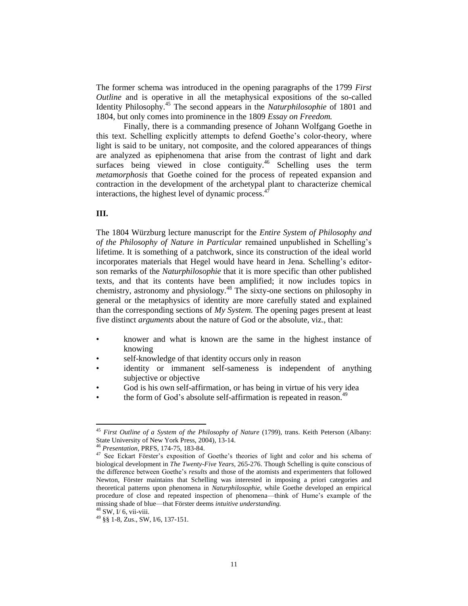The former schema was introduced in the opening paragraphs of the 1799 *First Outline* and is operative in all the metaphysical expositions of the so-called Identity Philosophy.<sup>45</sup> The second appears in the *Naturphilosophie* of 1801 and 1804, but only comes into prominence in the 1809 *Essay on Freedom.*

Finally, there is a commanding presence of Johann Wolfgang Goethe in this text. Schelling explicitly attempts to defend Goethe"s color-theory, where light is said to be unitary, not composite, and the colored appearances of things are analyzed as epiphenomena that arise from the contrast of light and dark surfaces being viewed in close contiguity.<sup>46</sup> Schelling uses the term *metamorphosis* that Goethe coined for the process of repeated expansion and contraction in the development of the archetypal plant to characterize chemical interactions, the highest level of dynamic process. $47$ 

#### **III.**

The 1804 Würzburg lecture manuscript for the *Entire System of Philosophy and of the Philosophy of Nature in Particular* remained unpublished in Schelling"s lifetime. It is something of a patchwork, since its construction of the ideal world incorporates materials that Hegel would have heard in Jena. Schelling"s editorson remarks of the *Naturphilosophie* that it is more specific than other published texts, and that its contents have been amplified; it now includes topics in chemistry, astronomy and physiology.<sup>48</sup> The sixty-one sections on philosophy in general or the metaphysics of identity are more carefully stated and explained than the corresponding sections of *My System.* The opening pages present at least five distinct *arguments* about the nature of God or the absolute, viz., that:

- knower and what is known are the same in the highest instance of knowing
- self-knowledge of that identity occurs only in reason
- identity or immanent self-sameness is independent of anything subjective or objective
- God is his own self-affirmation, or has being in virtue of his very idea
- the form of God's absolute self-affirmation is repeated in reason.<sup>49</sup>

<sup>&</sup>lt;sup>45</sup> First Outline of a System of the Philosophy of Nature (1799), trans. Keith Peterson (Albany: State University of New York Press, 2004), 13-14.

<sup>46</sup> *Presentation,* PRFS, 174-75, 183-84.

<sup>&</sup>lt;sup>47</sup> See Eckart Förster's exposition of Goethe's theories of light and color and his schema of biological development in *The Twenty-Five Years,* 265-276. Though Schelling is quite conscious of the difference between Goethe"s *results* and those of the atomists and experimenters that followed Newton, Förster maintains that Schelling was interested in imposing a priori categories and theoretical patterns upon phenomena in *Naturphilosophie,* while Goethe developed an empirical procedure of close and repeated inspection of phenomena—think of Hume"s example of the missing shade of blue—that Förster deems *intuitive understanding.*

 $48$  SW, I/ 6, vii-viii.

<sup>49</sup> §§ 1-8, Zus., SW, I/6, 137-151.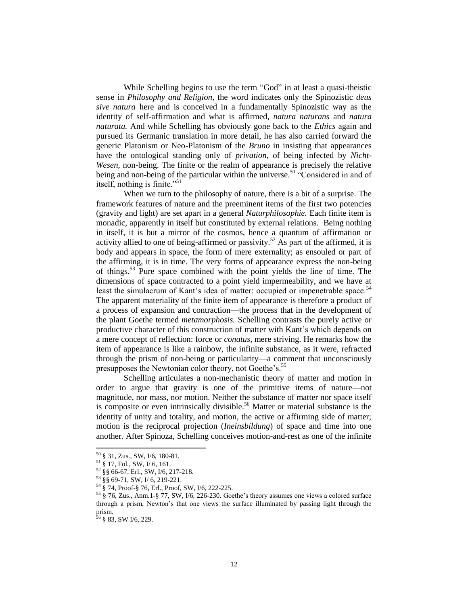While Schelling begins to use the term "God" in at least a quasi-theistic sense in *Philosophy and Religion,* the word indicates only the Spinozistic *deus sive natura* here and is conceived in a fundamentally Spinozistic way as the identity of self-affirmation and what is affirmed, *natura naturans* and *natura naturata.* And while Schelling has obviously gone back to the *Ethics* again and pursued its Germanic translation in more detail, he has also carried forward the generic Platonism or Neo-Platonism of the *Bruno* in insisting that appearances have the ontological standing only of *privation,* of being infected by *Nicht-Wesen,* non-being. The finite or the realm of appearance is precisely the relative being and non-being of the particular within the universe.<sup>50</sup> "Considered in and of itself, nothing is finite." $51$ 

When we turn to the philosophy of nature, there is a bit of a surprise. The framework features of nature and the preeminent items of the first two potencies (gravity and light) are set apart in a general *Naturphilosophie.* Each finite item is monadic, apparently in itself but constituted by external relations. Being nothing in itself, it is but a mirror of the cosmos, hence a quantum of affirmation or activity allied to one of being-affirmed or passivity.<sup>52</sup> As part of the affirmed, it is body and appears in space, the form of mere externality; as ensouled or part of the affirming, it is in time. The very forms of appearance express the non-being of things.<sup>53</sup> Pure space combined with the point yields the line of time. The dimensions of space contracted to a point yield impermeability, and we have at least the simulacrum of Kant's idea of matter: occupied or impenetrable space.<sup>54</sup> The apparent materiality of the finite item of appearance is therefore a product of a process of expansion and contraction—the process that in the development of the plant Goethe termed *metamorphosis.* Schelling contrasts the purely active or productive character of this construction of matter with Kant"s which depends on a mere concept of reflection: force or *conatus,* mere striving. He remarks how the item of appearance is like a rainbow, the infinite substance, as it were, refracted through the prism of non-being or particularity—a comment that unconsciously presupposes the Newtonian color theory, not Goethe's.<sup>55</sup>

Schelling articulates a non-mechanistic theory of matter and motion in order to argue that gravity is one of the primitive items of nature—not magnitude, nor mass, nor motion. Neither the substance of matter nor space itself is composite or even intrinsically divisible.<sup>56</sup> Matter or material substance is the identity of unity and totality, and motion, the active or affirming side of matter; motion is the reciprocal projection (*Ineinsbildung*) of space and time into one another. After Spinoza, Schelling conceives motion-and-rest as one of the infinite

 $50 \text{ }$  § 31, Zus., SW, I/6, 180-81.

 $^{51}$   $\frac{8}{9}$  17, Fol., SW, I/ 6, 161.

 $52 \frac{8}{9}$  §§ 66-67, Erl., SW, I/6, 217-218.

<sup>53</sup> §§ 69-71, SW, I/ 6, 219-221.

<sup>54</sup> § 74, Proof-§ 76, Erl., Proof, SW, I/6, 222-225.

<sup>55</sup> § 76, Zus., Anm.1-§ 77, SW, I/6, 226-230. Goethe"s theory assumes one views a colored surface through a prism, Newton"s that one views the surface illuminated by passing light through the prism.

 $56$  § 83, SW I/6, 229.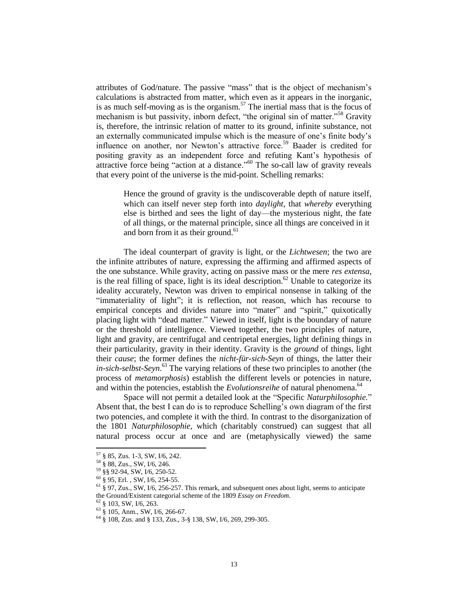attributes of God/nature. The passive "mass" that is the object of mechanism"s calculations is abstracted from matter, which even as it appears in the inorganic, is as much self-moving as is the organism.<sup>57</sup> The inertial mass that is the focus of mechanism is but passivity, inborn defect, "the original sin of matter."<sup>58</sup> Gravity is, therefore, the intrinsic relation of matter to its ground, infinite substance, not an externally communicated impulse which is the measure of one"s finite body"s influence on another, nor Newton's attractive force.<sup>59</sup> Baader is credited for positing gravity as an independent force and refuting Kant"s hypothesis of attractive force being "action at a distance."<sup>60</sup> The so-call law of gravity reveals that every point of the universe is the mid-point. Schelling remarks:

> Hence the ground of gravity is the undiscoverable depth of nature itself, which can itself never step forth into *daylight,* that *whereby* everything else is birthed and sees the light of day—the mysterious night, the fate of all things, or the maternal principle, since all things are conceived in it and born from it as their ground.<sup>61</sup>

The ideal counterpart of gravity is light, or the *Lichtwesen*; the two are the infinite attributes of nature, expressing the affirming and affirmed aspects of the one substance. While gravity, acting on passive mass or the mere *res extensa,* is the real filling of space, light is its ideal description.<sup>62</sup> Unable to categorize its ideality accurately, Newton was driven to empirical nonsense in talking of the "immateriality of light"; it is reflection, not reason, which has recourse to empirical concepts and divides nature into "mater" and "spirit," quixotically placing light with "dead matter." Viewed in itself, light is the boundary of nature or the threshold of intelligence. Viewed together, the two principles of nature, light and gravity, are centrifugal and centripetal energies, light defining things in their particularity, gravity in their identity. Gravity is the *ground* of things, light their *cause*; the former defines the *nicht-für-sich-Seyn* of things, the latter their *in-sich-selbst-Seyn*. <sup>63</sup> The varying relations of these two principles to another (the process of *metamorphosis*) establish the different levels or potencies in nature, and within the potencies, establish the *Evolutionsreihe* of natural phenomena.<sup>64</sup>

Space will not permit a detailed look at the "Specific *Naturphilosophie.*" Absent that, the best I can do is to reproduce Schelling"s own diagram of the first two potencies, and complete it with the third. In contrast to the disorganization of the 1801 *Naturphilosophie,* which (charitably construed) can suggest that all natural process occur at once and are (metaphysically viewed) the same

 $57$  § 85, Zus. 1-3, SW, I/6, 242.

<sup>58</sup> § 88, Zus., SW, I/6, 246.

<sup>59</sup> §§ 92-94, SW, I/6, 250-52.

<sup>60</sup> § 95, Erl. , SW, I/6, 254-55.

 $61 \text{ § } 97$ , Zus., SW, I/6, 256-257. This remark, and subsequent ones about light, seems to anticipate the Ground/Existent categorial scheme of the 1809 *Essay on Freedom*.

<sup>62</sup> § 103, SW, I/6, 263.

 $63\frac{1}{9}$  \$ 105, Anm., SW, I/6, 266-67.

<sup>64</sup> § 108, Zus. and § 133, Zus., 3-§ 138, SW, I/6, 269, 299-305.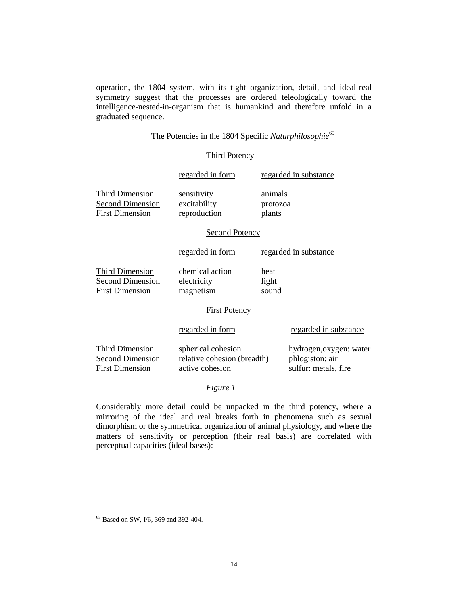operation, the 1804 system, with its tight organization, detail, and ideal-real symmetry suggest that the processes are ordered teleologically toward the intelligence-nested-in-organism that is humankind and therefore unfold in a graduated sequence.

The Potencies in the 1804 Specific Naturphilosophie<sup>65</sup>

## Third Potency

|                                                                             | regarded in form                                                     |                               | regarded in substance                                              |  |  |  |  |
|-----------------------------------------------------------------------------|----------------------------------------------------------------------|-------------------------------|--------------------------------------------------------------------|--|--|--|--|
| <b>Third Dimension</b><br><b>Second Dimension</b><br><b>First Dimension</b> | sensitivity<br>excitability<br>reproduction                          | animals<br>protozoa<br>plants |                                                                    |  |  |  |  |
| <b>Second Potency</b>                                                       |                                                                      |                               |                                                                    |  |  |  |  |
|                                                                             | regarded in form                                                     |                               | regarded in substance                                              |  |  |  |  |
| <b>Third Dimension</b><br><b>Second Dimension</b><br><b>First Dimension</b> | chemical action<br>electricity<br>magnetism                          | heat<br>light<br>sound        |                                                                    |  |  |  |  |
| <b>First Potency</b>                                                        |                                                                      |                               |                                                                    |  |  |  |  |
|                                                                             | regarded in form                                                     |                               | regarded in substance                                              |  |  |  |  |
| Third Dimension<br><b>Second Dimension</b><br><b>First Dimension</b>        | spherical cohesion<br>relative cohesion (breadth)<br>active cohesion |                               | hydrogen, oxygen: water<br>phlogiston: air<br>sulfur: metals, fire |  |  |  |  |

*Figure 1*

Considerably more detail could be unpacked in the third potency, where a mirroring of the ideal and real breaks forth in phenomena such as sexual dimorphism or the symmetrical organization of animal physiology, and where the matters of sensitivity or perception (their real basis) are correlated with perceptual capacities (ideal bases):

<sup>&</sup>lt;sup>65</sup> Based on SW, I/6, 369 and 392-404.